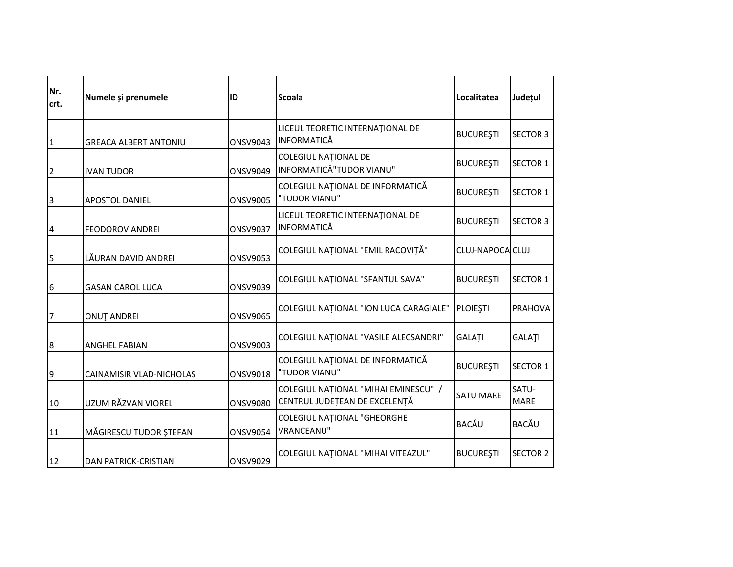| Nr.<br>crt.  | Numele și prenumele          | ID              | <b>Scoala</b>                                                         | Localitatea      | Județul         |
|--------------|------------------------------|-----------------|-----------------------------------------------------------------------|------------------|-----------------|
| $\mathbf{1}$ | <b>GREACA ALBERT ANTONIU</b> | <b>ONSV9043</b> | LICEUL TEORETIC INTERNATIONAL DE<br><b>INFORMATICĂ</b>                | <b>BUCUREȘTI</b> | <b>SECTOR 3</b> |
| 2            | <b>IVAN TUDOR</b>            | <b>ONSV9049</b> | <b>COLEGIUL NATIONAL DE</b><br>INFORMATICĂ"TUDOR VIANU"               | <b>BUCUREȘTI</b> | <b>SECTOR 1</b> |
| 3            | <b>APOSTOL DANIEL</b>        | <b>ONSV9005</b> | COLEGIUL NAȚIONAL DE INFORMATICĂ<br>"TUDOR VIANU"                     | <b>BUCUREȘTI</b> | <b>SECTOR 1</b> |
| 4            | <b>FEODOROV ANDREI</b>       | <b>ONSV9037</b> | LICEUL TEORETIC INTERNATIONAL DE<br><b>INFORMATICĂ</b>                | <b>BUCUREȘTI</b> | <b>SECTOR 3</b> |
| 5            | LĂURAN DAVID ANDREI          | <b>ONSV9053</b> | COLEGIUL NAȚIONAL "EMIL RACOVIȚĂ"                                     | CLUJ-NAPOCA CLUJ |                 |
| 6            | <b>GASAN CAROL LUCA</b>      | <b>ONSV9039</b> | COLEGIUL NATIONAL "SFANTUL SAVA"                                      | <b>BUCUREȘTI</b> | SECTOR 1        |
| 17           | <b>ONUT ANDREI</b>           | <b>ONSV9065</b> | COLEGIUL NAȚIONAL "ION LUCA CARAGIALE"                                | <b>PLOIESTI</b>  | <b>PRAHOVA</b>  |
| 8            | <b>ANGHEL FABIAN</b>         | <b>ONSV9003</b> | COLEGIUL NAȚIONAL "VASILE ALECSANDRI"                                 | GALAȚI           | <b>GALATI</b>   |
| 9            | CAINAMISIR VLAD-NICHOLAS     | <b>ONSV9018</b> | COLEGIUL NAȚIONAL DE INFORMATICĂ<br>"TUDOR VIANU"                     | <b>BUCUREȘTI</b> | <b>SECTOR 1</b> |
| 10           | UZUM RĂZVAN VIOREL           | <b>ONSV9080</b> | COLEGIUL NAȚIONAL "MIHAI EMINESCU" /<br>CENTRUL JUDEȚEAN DE EXCELENȚĂ | <b>SATU MARE</b> | SATU-<br>MARE   |
| 11           | MĂGIRESCU TUDOR ȘTEFAN       | <b>ONSV9054</b> | COLEGIUL NAȚIONAL "GHEORGHE<br>VRANCEANU"                             | <b>BACĂU</b>     | BACĂU           |
| 12           | <b>DAN PATRICK-CRISTIAN</b>  | <b>ONSV9029</b> | COLEGIUL NAȚIONAL "MIHAI VITEAZUL"                                    | <b>BUCUREȘTI</b> | <b>SECTOR 2</b> |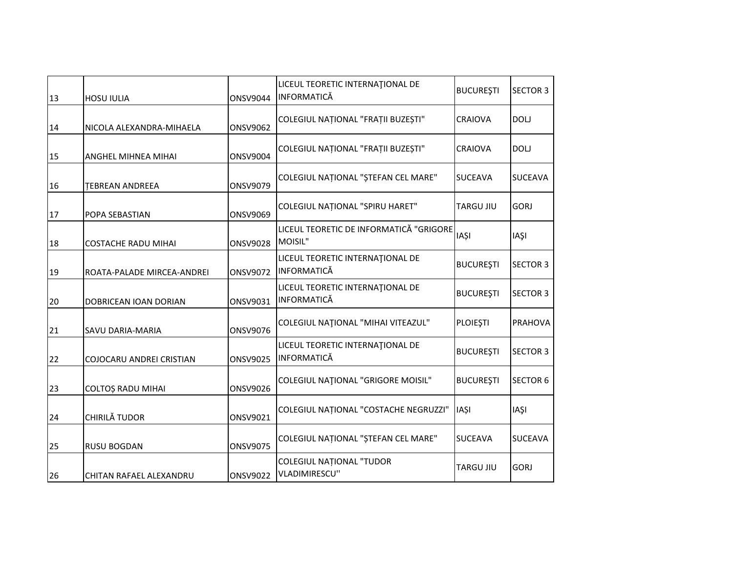|                            |                 | LICEUL TEORETIC INTERNATIONAL DE                       |                    | <b>SECTOR 3</b>                                                               |
|----------------------------|-----------------|--------------------------------------------------------|--------------------|-------------------------------------------------------------------------------|
| <b>HOSU IULIA</b>          | <b>ONSV9044</b> |                                                        |                    |                                                                               |
| NICOLA ALEXANDRA-MIHAELA   | <b>ONSV9062</b> | COLEGIUL NAȚIONAL "FRAȚII BUZEȘTI"                     | <b>CRAIOVA</b>     | <b>DOLJ</b>                                                                   |
| ANGHEL MIHNEA MIHAI        | <b>ONSV9004</b> | COLEGIUL NAȚIONAL "FRAȚII BUZEȘTI"                     | <b>CRAIOVA</b>     | <b>DOLJ</b>                                                                   |
| <b>TEBREAN ANDREEA</b>     | <b>ONSV9079</b> | COLEGIUL NAȚIONAL "ȘTEFAN CEL MARE"                    |                    | <b>SUCEAVA</b>                                                                |
| POPA SEBASTIAN             | <b>ONSV9069</b> | COLEGIUL NAȚIONAL "SPIRU HARET"                        | <b>TARGU JIU</b>   | <b>GORJ</b>                                                                   |
| <b>COSTACHE RADU MIHAI</b> | <b>ONSV9028</b> | MOISIL"                                                | <b>IASI</b>        | <b>IASI</b>                                                                   |
| ROATA-PALADE MIRCEA-ANDREI | <b>ONSV9072</b> | LICEUL TEORETIC INTERNATIONAL DE<br>INFORMATICĂ        | <b>BUCUREȘTI</b>   | <b>SECTOR 3</b>                                                               |
| DOBRICEAN IOAN DORIAN      | ONSV9031        | LICEUL TEORETIC INTERNATIONAL DE<br><b>INFORMATICĂ</b> | <b>BUCURESTI</b>   | <b>SECTOR 3</b>                                                               |
| SAVU DARIA-MARIA           | <b>ONSV9076</b> | COLEGIUL NATIONAL "MIHAI VITEAZUL"                     | <b>PLOIEȘTI</b>    | <b>PRAHOVA</b>                                                                |
| COJOCARU ANDREI CRISTIAN   | <b>ONSV9025</b> | LICEUL TEORETIC INTERNAȚIONAL DE<br>INFORMATICĂ        | <b>BUCUREȘTI</b>   | <b>SECTOR 3</b>                                                               |
| <b>COLTOȘ RADU MIHAI</b>   | <b>ONSV9026</b> | COLEGIUL NATIONAL "GRIGORE MOISIL"                     | <b>BUCUREȘTI</b>   | <b>SECTOR 6</b>                                                               |
| CHIRILĂ TUDOR              | <b>ONSV9021</b> | COLEGIUL NAȚIONAL "COSTACHE NEGRUZZI"                  | <b>IASI</b>        | <b>IAŞI</b>                                                                   |
| <b>RUSU BOGDAN</b>         | <b>ONSV9075</b> | COLEGIUL NAȚIONAL "ȘTEFAN CEL MARE"                    | <b>SUCEAVA</b>     | <b>SUCEAVA</b>                                                                |
| CHITAN RAFAEL ALEXANDRU    | <b>ONSV9022</b> | <b>COLEGIUL NATIONAL "TUDOR</b><br>VLADIMIRESCU"       | <b>TARGU JIU</b>   | <b>GORJ</b>                                                                   |
|                            |                 |                                                        | <b>INFORMATICĂ</b> | <b>BUCUREȘTI</b><br><b>SUCEAVA</b><br>LICEUL TEORETIC DE INFORMATICĂ "GRIGORE |